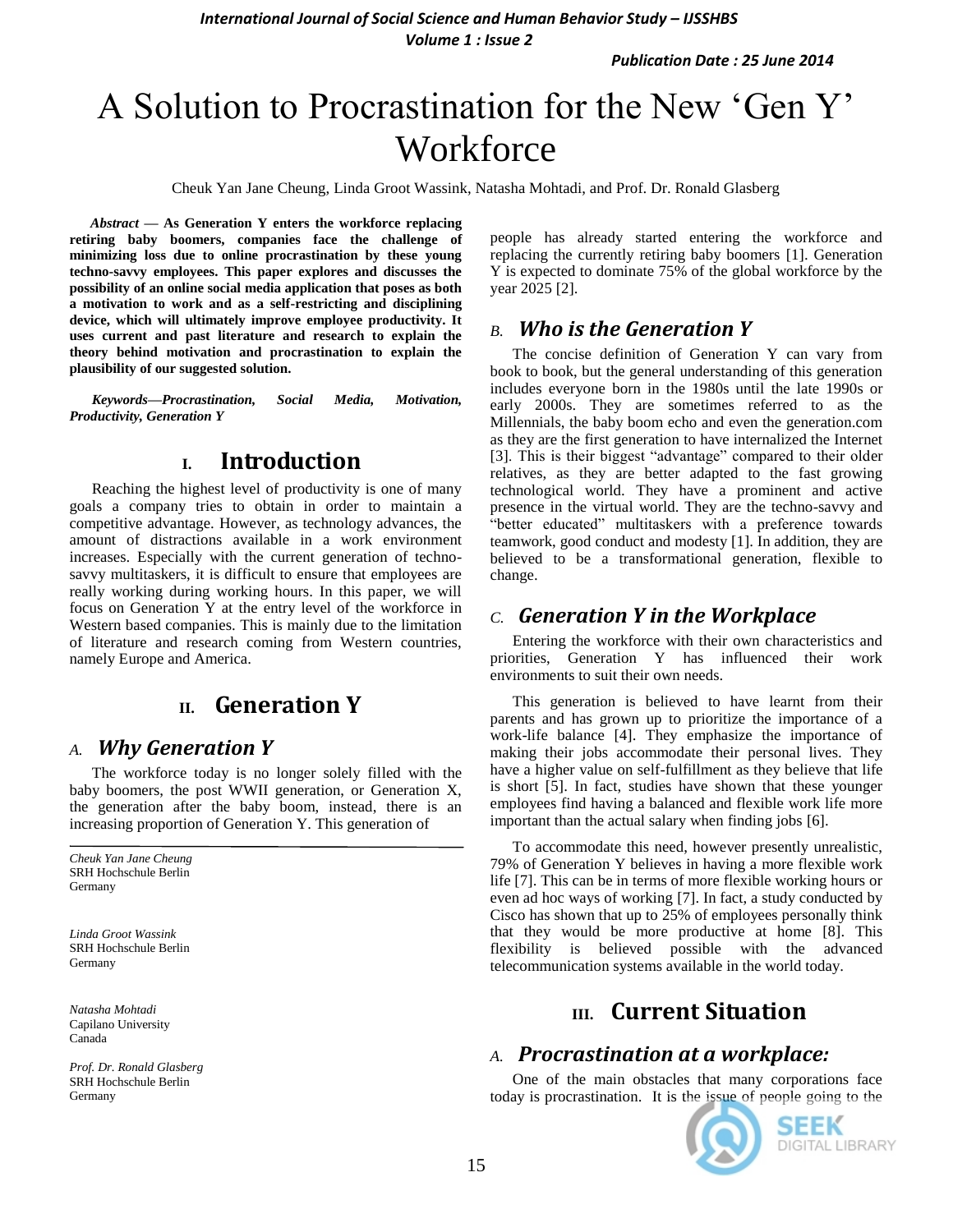*International Journal of Social Science and Human Behavior Study – IJSSHBS Volume 1 : Issue 2*

*Publication Date : 25 June 2014*

# A Solution to Procrastination for the New "Gen Y" **Workforce**

Cheuk Yan Jane Cheung, Linda Groot Wassink, Natasha Mohtadi, and Prof. Dr. Ronald Glasberg

*Abstract* **— As Generation Y enters the workforce replacing retiring baby boomers, companies face the challenge of minimizing loss due to online procrastination by these young techno-savvy employees. This paper explores and discusses the possibility of an online social media application that poses as both a motivation to work and as a self-restricting and disciplining device, which will ultimately improve employee productivity. It uses current and past literature and research to explain the theory behind motivation and procrastination to explain the plausibility of our suggested solution.**

*Keywords—Procrastination, Social Media, Motivation, Productivity, Generation Y*

## **I. Introduction**

Reaching the highest level of productivity is one of many goals a company tries to obtain in order to maintain a competitive advantage. However, as technology advances, the amount of distractions available in a work environment increases. Especially with the current generation of technosavvy multitaskers, it is difficult to ensure that employees are really working during working hours. In this paper, we will focus on Generation Y at the entry level of the workforce in Western based companies. This is mainly due to the limitation of literature and research coming from Western countries, namely Europe and America.

# **II. Generation Y**

### *A. Why Generation Y*

The workforce today is no longer solely filled with the baby boomers, the post WWII generation, or Generation X, the generation after the baby boom, instead, there is an increasing proportion of Generation Y. This generation of

*Cheuk Yan Jane Cheung* SRH Hochschule Berlin Germany

*Linda Groot Wassink* SRH Hochschule Berlin Germany

*Natasha Mohtadi* Capilano University Canada

*Prof. Dr. Ronald Glasberg* SRH Hochschule Berlin Germany

people has already started entering the workforce and replacing the currently retiring baby boomers [1]. Generation Y is expected to dominate 75% of the global workforce by the year 2025 [2].

### *B. Who is the Generation Y*

The concise definition of Generation Y can vary from book to book, but the general understanding of this generation includes everyone born in the 1980s until the late 1990s or early 2000s. They are sometimes referred to as the Millennials, the baby boom echo and even the generation.com as they are the first generation to have internalized the Internet [3]. This is their biggest "advantage" compared to their older relatives, as they are better adapted to the fast growing technological world. They have a prominent and active presence in the virtual world. They are the techno-savvy and "better educated" multitaskers with a preference towards teamwork, good conduct and modesty [1]. In addition, they are believed to be a transformational generation, flexible to change.

### *C. Generation Y in the Workplace*

Entering the workforce with their own characteristics and priorities, Generation Y has influenced their work environments to suit their own needs.

This generation is believed to have learnt from their parents and has grown up to prioritize the importance of a work-life balance [4]. They emphasize the importance of making their jobs accommodate their personal lives. They have a higher value on self-fulfillment as they believe that life is short [5]. In fact, studies have shown that these younger employees find having a balanced and flexible work life more important than the actual salary when finding jobs [6].

To accommodate this need, however presently unrealistic, 79% of Generation Y believes in having a more flexible work life [7]. This can be in terms of more flexible working hours or even ad hoc ways of working [7]. In fact, a study conducted by Cisco has shown that up to 25% of employees personally think that they would be more productive at home [8]. This flexibility is believed possible with the advanced telecommunication systems available in the world today.

# **III. Current Situation**

### *A. Procrastination at a workplace:*

One of the main obstacles that many corporations face today is procrastination. It is the issue of people going to the

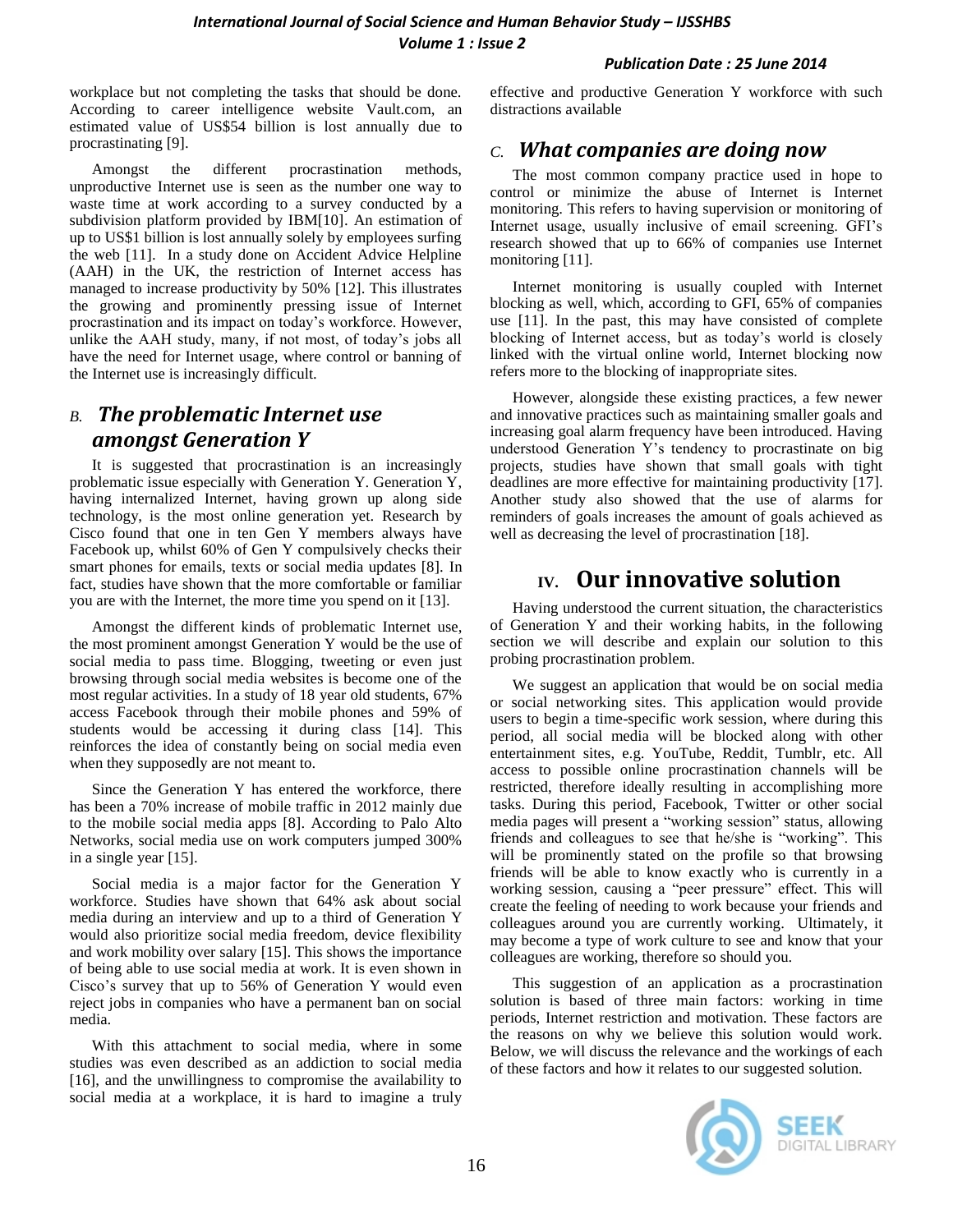workplace but not completing the tasks that should be done. According to career intelligence website Vault.com, an estimated value of US\$54 billion is lost annually due to procrastinating [9].

Amongst the different procrastination methods, unproductive Internet use is seen as the number one way to waste time at work according to a survey conducted by a subdivision platform provided by IBM[10]. An estimation of up to US\$1 billion is lost annually solely by employees surfing the web [11]. In a study done on Accident Advice Helpline (AAH) in the UK, the restriction of Internet access has managed to increase productivity by 50% [12]. This illustrates the growing and prominently pressing issue of Internet procrastination and its impact on today"s workforce. However, unlike the AAH study, many, if not most, of today"s jobs all have the need for Internet usage, where control or banning of the Internet use is increasingly difficult.

# *B. The problematic Internet use amongst Generation Y*

It is suggested that procrastination is an increasingly problematic issue especially with Generation Y. Generation Y, having internalized Internet, having grown up along side technology, is the most online generation yet. Research by Cisco found that one in ten Gen Y members always have Facebook up, whilst 60% of Gen Y compulsively checks their smart phones for emails, texts or social media updates [8]. In fact, studies have shown that the more comfortable or familiar you are with the Internet, the more time you spend on it [13].

Amongst the different kinds of problematic Internet use, the most prominent amongst Generation Y would be the use of social media to pass time. Blogging, tweeting or even just browsing through social media websites is become one of the most regular activities. In a study of 18 year old students, 67% access Facebook through their mobile phones and 59% of students would be accessing it during class [14]. This reinforces the idea of constantly being on social media even when they supposedly are not meant to.

Since the Generation Y has entered the workforce, there has been a 70% increase of mobile traffic in 2012 mainly due to the mobile social media apps [8]. According to Palo Alto Networks, social media use on work computers jumped 300% in a single year [15].

Social media is a major factor for the Generation Y workforce. Studies have shown that 64% ask about social media during an interview and up to a third of Generation Y would also prioritize social media freedom, device flexibility and work mobility over salary [15]. This shows the importance of being able to use social media at work. It is even shown in Cisco"s survey that up to 56% of Generation Y would even reject jobs in companies who have a permanent ban on social media.

With this attachment to social media, where in some studies was even described as an addiction to social media [16], and the unwillingness to compromise the availability to social media at a workplace, it is hard to imagine a truly effective and productive Generation Y workforce with such distractions available

# *C. What companies are doing now*

The most common company practice used in hope to control or minimize the abuse of Internet is Internet monitoring. This refers to having supervision or monitoring of Internet usage, usually inclusive of email screening. GFI's research showed that up to 66% of companies use Internet monitoring [11].

Internet monitoring is usually coupled with Internet blocking as well, which, according to GFI, 65% of companies use [11]. In the past, this may have consisted of complete blocking of Internet access, but as today"s world is closely linked with the virtual online world, Internet blocking now refers more to the blocking of inappropriate sites.

However, alongside these existing practices, a few newer and innovative practices such as maintaining smaller goals and increasing goal alarm frequency have been introduced. Having understood Generation Y"s tendency to procrastinate on big projects, studies have shown that small goals with tight deadlines are more effective for maintaining productivity [17]. Another study also showed that the use of alarms for reminders of goals increases the amount of goals achieved as well as decreasing the level of procrastination [18].

# **IV. Our innovative solution**

Having understood the current situation, the characteristics of Generation Y and their working habits, in the following section we will describe and explain our solution to this probing procrastination problem.

We suggest an application that would be on social media or social networking sites. This application would provide users to begin a time-specific work session, where during this period, all social media will be blocked along with other entertainment sites, e.g. YouTube, Reddit, Tumblr, etc. All access to possible online procrastination channels will be restricted, therefore ideally resulting in accomplishing more tasks. During this period, Facebook, Twitter or other social media pages will present a "working session" status, allowing friends and colleagues to see that he/she is "working". This will be prominently stated on the profile so that browsing friends will be able to know exactly who is currently in a working session, causing a "peer pressure" effect. This will create the feeling of needing to work because your friends and colleagues around you are currently working. Ultimately, it may become a type of work culture to see and know that your colleagues are working, therefore so should you.

This suggestion of an application as a procrastination solution is based of three main factors: working in time periods, Internet restriction and motivation. These factors are the reasons on why we believe this solution would work. Below, we will discuss the relevance and the workings of each of these factors and how it relates to our suggested solution.

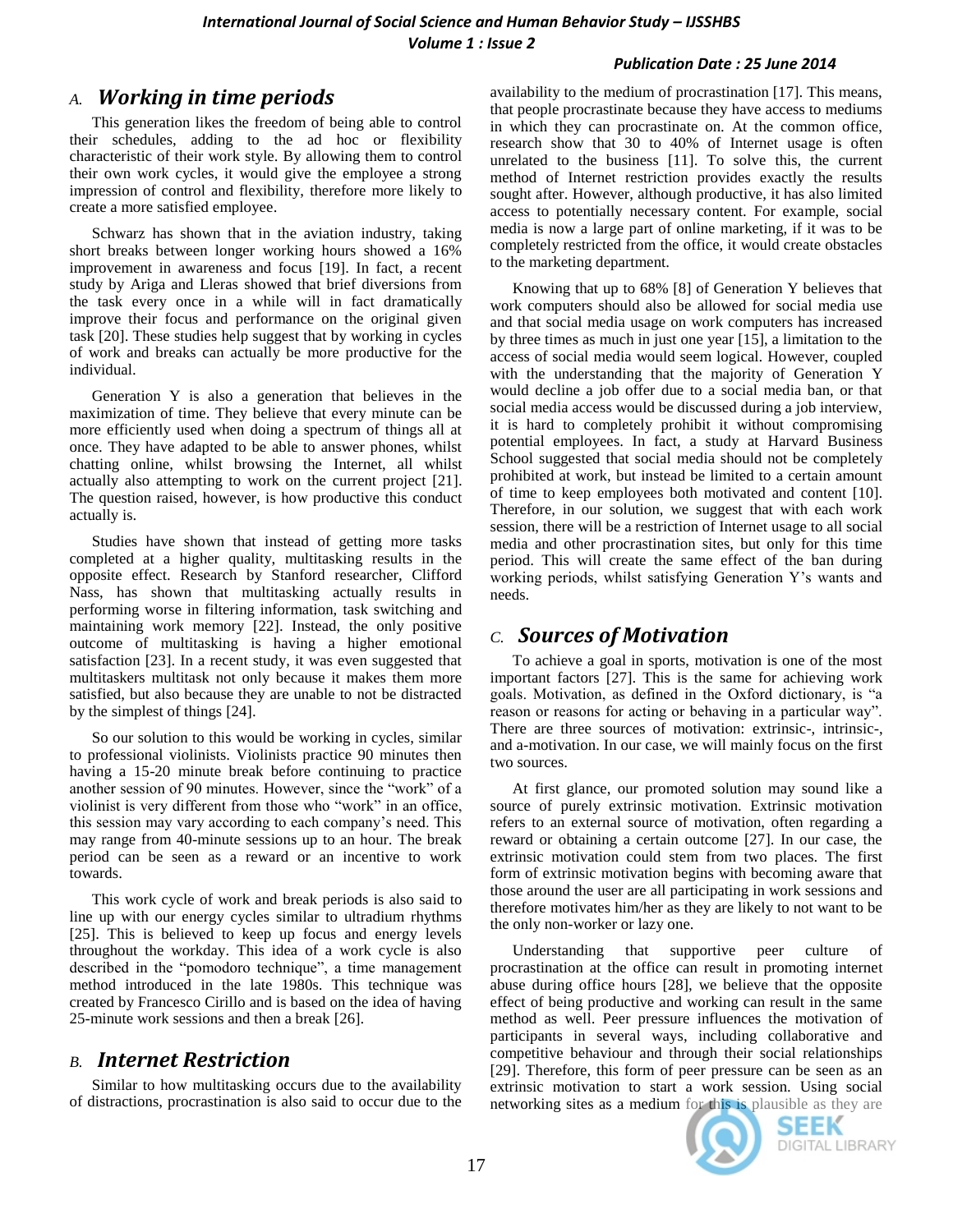# *A. Working in time periods*

This generation likes the freedom of being able to control their schedules, adding to the ad hoc or flexibility characteristic of their work style. By allowing them to control their own work cycles, it would give the employee a strong impression of control and flexibility, therefore more likely to create a more satisfied employee.

Schwarz has shown that in the aviation industry, taking short breaks between longer working hours showed a 16% improvement in awareness and focus [19]. In fact, a recent study by Ariga and Lleras showed that brief diversions from the task every once in a while will in fact dramatically improve their focus and performance on the original given task [20]. These studies help suggest that by working in cycles of work and breaks can actually be more productive for the individual.

Generation Y is also a generation that believes in the maximization of time. They believe that every minute can be more efficiently used when doing a spectrum of things all at once. They have adapted to be able to answer phones, whilst chatting online, whilst browsing the Internet, all whilst actually also attempting to work on the current project [21]. The question raised, however, is how productive this conduct actually is.

Studies have shown that instead of getting more tasks completed at a higher quality, multitasking results in the opposite effect. Research by Stanford researcher, Clifford Nass, has shown that multitasking actually results in performing worse in filtering information, task switching and maintaining work memory [22]. Instead, the only positive outcome of multitasking is having a higher emotional satisfaction [23]. In a recent study, it was even suggested that multitaskers multitask not only because it makes them more satisfied, but also because they are unable to not be distracted by the simplest of things [24].

So our solution to this would be working in cycles, similar to professional violinists. Violinists practice 90 minutes then having a 15-20 minute break before continuing to practice another session of 90 minutes. However, since the "work" of a violinist is very different from those who "work" in an office, this session may vary according to each company"s need. This may range from 40-minute sessions up to an hour. The break period can be seen as a reward or an incentive to work towards.

This work cycle of work and break periods is also said to line up with our energy cycles similar to ultradium rhythms [25]. This is believed to keep up focus and energy levels throughout the workday. This idea of a work cycle is also described in the "pomodoro technique", a time management method introduced in the late 1980s. This technique was created by Francesco Cirillo and is based on the idea of having 25-minute work sessions and then a break [26].

# *B. Internet Restriction*

Similar to how multitasking occurs due to the availability of distractions, procrastination is also said to occur due to the availability to the medium of procrastination [17]. This means, that people procrastinate because they have access to mediums in which they can procrastinate on. At the common office, research show that 30 to 40% of Internet usage is often unrelated to the business [11]. To solve this, the current method of Internet restriction provides exactly the results sought after. However, although productive, it has also limited access to potentially necessary content. For example, social media is now a large part of online marketing, if it was to be completely restricted from the office, it would create obstacles to the marketing department.

Knowing that up to 68% [8] of Generation Y believes that work computers should also be allowed for social media use and that social media usage on work computers has increased by three times as much in just one year [15], a limitation to the access of social media would seem logical. However, coupled with the understanding that the majority of Generation Y would decline a job offer due to a social media ban, or that social media access would be discussed during a job interview, it is hard to completely prohibit it without compromising potential employees. In fact, a study at Harvard Business School suggested that social media should not be completely prohibited at work, but instead be limited to a certain amount of time to keep employees both motivated and content [10]. Therefore, in our solution, we suggest that with each work session, there will be a restriction of Internet usage to all social media and other procrastination sites, but only for this time period. This will create the same effect of the ban during working periods, whilst satisfying Generation Y"s wants and needs.

# *C. Sources of Motivation*

To achieve a goal in sports, motivation is one of the most important factors [27]. This is the same for achieving work goals. Motivation, as defined in the Oxford dictionary, is "a reason or reasons for acting or behaving in a particular way". There are three sources of motivation: extrinsic-, intrinsic-, and a-motivation. In our case, we will mainly focus on the first two sources.

At first glance, our promoted solution may sound like a source of purely extrinsic motivation. Extrinsic motivation refers to an external source of motivation, often regarding a reward or obtaining a certain outcome [27]. In our case, the extrinsic motivation could stem from two places. The first form of extrinsic motivation begins with becoming aware that those around the user are all participating in work sessions and therefore motivates him/her as they are likely to not want to be the only non-worker or lazy one.

Understanding that supportive peer culture of procrastination at the office can result in promoting internet abuse during office hours [28], we believe that the opposite effect of being productive and working can result in the same method as well. Peer pressure influences the motivation of participants in several ways, including collaborative and competitive behaviour and through their social relationships [29]. Therefore, this form of peer pressure can be seen as an extrinsic motivation to start a work session. Using social networking sites as a medium for this is plausible as they are



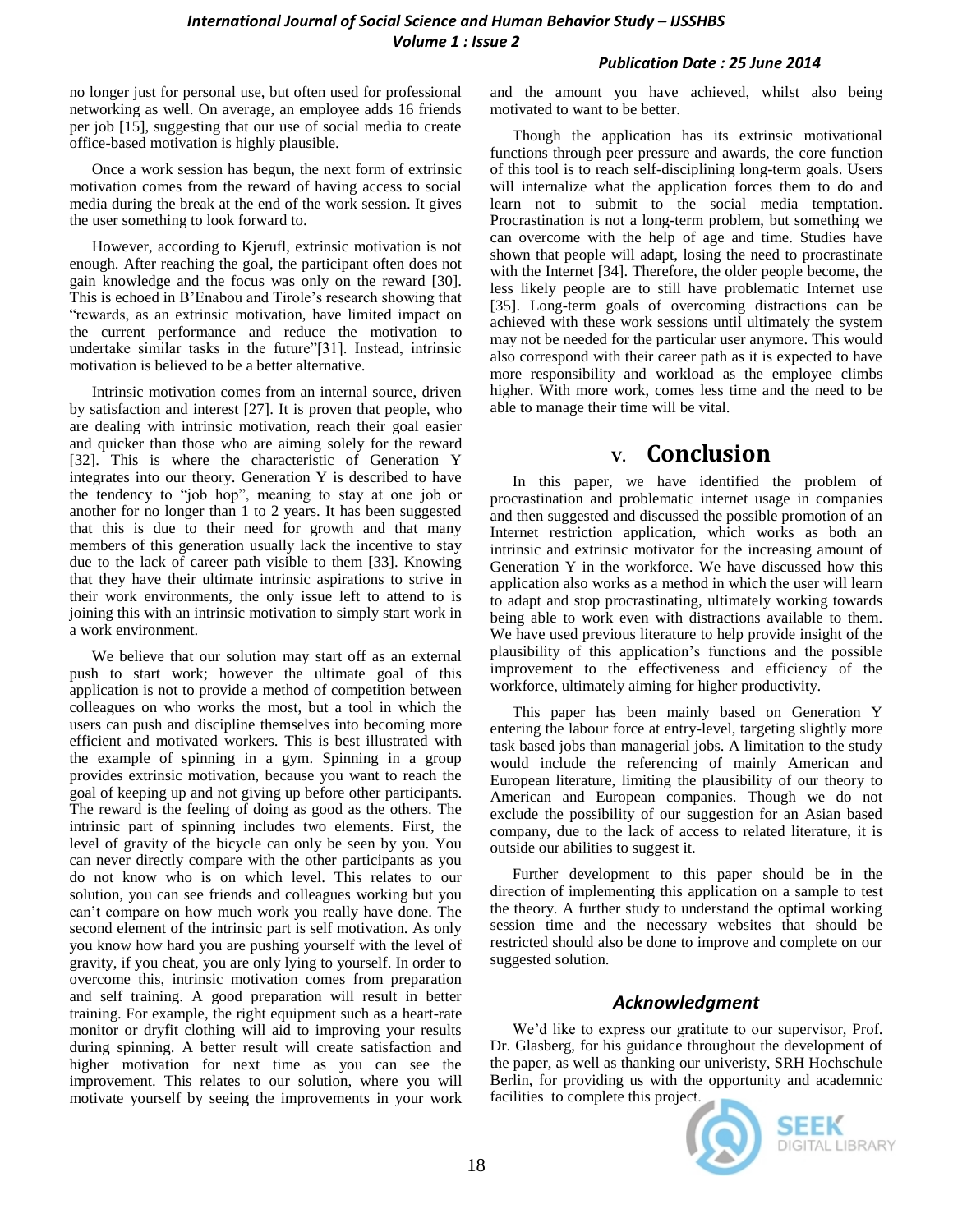no longer just for personal use, but often used for professional networking as well. On average, an employee adds 16 friends per job [15], suggesting that our use of social media to create office-based motivation is highly plausible.

Once a work session has begun, the next form of extrinsic motivation comes from the reward of having access to social media during the break at the end of the work session. It gives the user something to look forward to.

However, according to Kjerufl, extrinsic motivation is not enough. After reaching the goal, the participant often does not gain knowledge and the focus was only on the reward [30]. This is echoed in B"Enabou and Tirole"s research showing that "rewards, as an extrinsic motivation, have limited impact on the current performance and reduce the motivation to undertake similar tasks in the future"[31]. Instead, intrinsic motivation is believed to be a better alternative.

Intrinsic motivation comes from an internal source, driven by satisfaction and interest [27]. It is proven that people, who are dealing with intrinsic motivation, reach their goal easier and quicker than those who are aiming solely for the reward [32]. This is where the characteristic of Generation Y integrates into our theory. Generation Y is described to have the tendency to "job hop", meaning to stay at one job or another for no longer than 1 to 2 years. It has been suggested that this is due to their need for growth and that many members of this generation usually lack the incentive to stay due to the lack of career path visible to them [33]. Knowing that they have their ultimate intrinsic aspirations to strive in their work environments, the only issue left to attend to is joining this with an intrinsic motivation to simply start work in a work environment.

We believe that our solution may start off as an external push to start work; however the ultimate goal of this application is not to provide a method of competition between colleagues on who works the most, but a tool in which the users can push and discipline themselves into becoming more efficient and motivated workers. This is best illustrated with the example of spinning in a gym. Spinning in a group provides extrinsic motivation, because you want to reach the goal of keeping up and not giving up before other participants. The reward is the feeling of doing as good as the others. The intrinsic part of spinning includes two elements. First, the level of gravity of the bicycle can only be seen by you. You can never directly compare with the other participants as you do not know who is on which level. This relates to our solution, you can see friends and colleagues working but you can"t compare on how much work you really have done. The second element of the intrinsic part is self motivation. As only you know how hard you are pushing yourself with the level of gravity, if you cheat, you are only lying to yourself. In order to overcome this, intrinsic motivation comes from preparation and self training. A good preparation will result in better training. For example, the right equipment such as a heart-rate monitor or dryfit clothing will aid to improving your results during spinning. A better result will create satisfaction and higher motivation for next time as you can see the improvement. This relates to our solution, where you will motivate yourself by seeing the improvements in your work

and the amount you have achieved, whilst also being motivated to want to be better.

Though the application has its extrinsic motivational functions through peer pressure and awards, the core function of this tool is to reach self-disciplining long-term goals. Users will internalize what the application forces them to do and learn not to submit to the social media temptation. Procrastination is not a long-term problem, but something we can overcome with the help of age and time. Studies have shown that people will adapt, losing the need to procrastinate with the Internet [34]. Therefore, the older people become, the less likely people are to still have problematic Internet use [35]. Long-term goals of overcoming distractions can be achieved with these work sessions until ultimately the system may not be needed for the particular user anymore. This would also correspond with their career path as it is expected to have more responsibility and workload as the employee climbs higher. With more work, comes less time and the need to be able to manage their time will be vital.

# **V. Conclusion**

In this paper, we have identified the problem of procrastination and problematic internet usage in companies and then suggested and discussed the possible promotion of an Internet restriction application, which works as both an intrinsic and extrinsic motivator for the increasing amount of Generation Y in the workforce. We have discussed how this application also works as a method in which the user will learn to adapt and stop procrastinating, ultimately working towards being able to work even with distractions available to them. We have used previous literature to help provide insight of the plausibility of this application"s functions and the possible improvement to the effectiveness and efficiency of the workforce, ultimately aiming for higher productivity.

This paper has been mainly based on Generation Y entering the labour force at entry-level, targeting slightly more task based jobs than managerial jobs. A limitation to the study would include the referencing of mainly American and European literature, limiting the plausibility of our theory to American and European companies. Though we do not exclude the possibility of our suggestion for an Asian based company, due to the lack of access to related literature, it is outside our abilities to suggest it.

Further development to this paper should be in the direction of implementing this application on a sample to test the theory. A further study to understand the optimal working session time and the necessary websites that should be restricted should also be done to improve and complete on our suggested solution.

### *Acknowledgment*

We'd like to express our gratitute to our supervisor, Prof. Dr. Glasberg, for his guidance throughout the development of the paper, as well as thanking our univeristy, SRH Hochschule Berlin, for providing us with the opportunity and academnic facilities to complete this project.